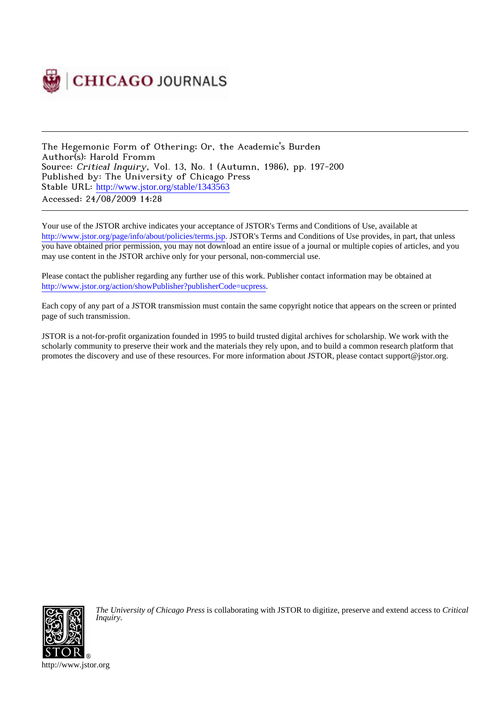

The Hegemonic Form of Othering; Or, the Academic's Burden Author(s): Harold Fromm Source: Critical Inquiry, Vol. 13, No. 1 (Autumn, 1986), pp. 197-200 Published by: The University of Chicago Press Stable URL: [http://www.jstor.org/stable/1343563](http://www.jstor.org/stable/1343563?origin=JSTOR-pdf) Accessed: 24/08/2009 14:28

Your use of the JSTOR archive indicates your acceptance of JSTOR's Terms and Conditions of Use, available at <http://www.jstor.org/page/info/about/policies/terms.jsp>. JSTOR's Terms and Conditions of Use provides, in part, that unless you have obtained prior permission, you may not download an entire issue of a journal or multiple copies of articles, and you may use content in the JSTOR archive only for your personal, non-commercial use.

Please contact the publisher regarding any further use of this work. Publisher contact information may be obtained at [http://www.jstor.org/action/showPublisher?publisherCode=ucpress.](http://www.jstor.org/action/showPublisher?publisherCode=ucpress)

Each copy of any part of a JSTOR transmission must contain the same copyright notice that appears on the screen or printed page of such transmission.

JSTOR is a not-for-profit organization founded in 1995 to build trusted digital archives for scholarship. We work with the scholarly community to preserve their work and the materials they rely upon, and to build a common research platform that promotes the discovery and use of these resources. For more information about JSTOR, please contact support@jstor.org.



*The University of Chicago Press* is collaborating with JSTOR to digitize, preserve and extend access to *Critical Inquiry.*

http://www.jstor.org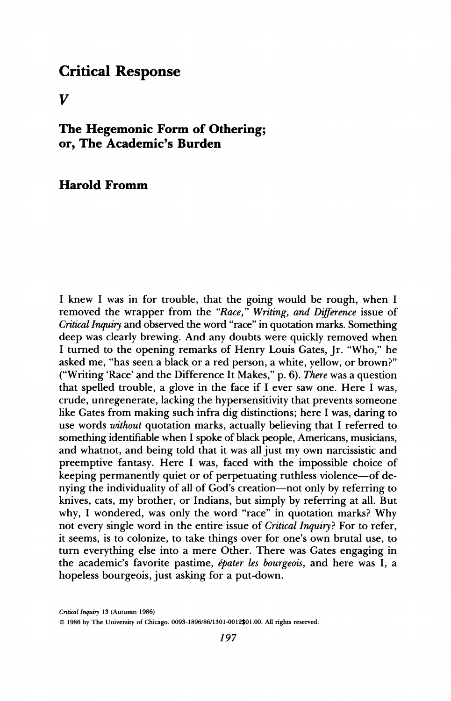# **Critical Response**

#### **V**

## **The Hegemonic Form of Othering; or, The Academic's Burden**

## **Harold Fromm**

**I knew I was in for trouble, that the going would be rough, when I removed the wrapper from the "Race," Writing, and Difference issue of Critical Inquiry and observed the word "race" in quotation marks. Something deep was clearly brewing. And any doubts were quickly removed when I turned to the opening remarks of Henry Louis Gates, Jr. "Who," he asked me, "has seen a black or a red person, a white, yellow, or brown?" ("Writing 'Race' and the Difference It Makes," p. 6). There was a question that spelled trouble, a glove in the face if I ever saw one. Here I was, crude, unregenerate, lacking the hypersensitivity that prevents someone like Gates from making such infra dig distinctions; here I was, daring to use words without quotation marks, actually believing that I referred to something identifiable when I spoke of black people, Americans, musicians, and whatnot, and being told that it was all just my own narcissistic and preemptive fantasy. Here I was, faced with the impossible choice of keeping permanently quiet or of perpetuating ruthless violence-of denying the individuality of all of God's creation-not only by referring to knives, cats, my brother, or Indians, but simply by referring at all. But why, I wondered, was only the word "race" in quotation marks? Why not every single word in the entire issue of Critical Inquiry? For to refer, it seems, is to colonize, to take things over for one's own brutal use, to turn everything else into a mere Other. There was Gates engaging in the academic's favorite pastime, epater les bourgeois, and here was I, a hopeless bourgeois, just asking for a put-down.** 

**Critical Inquiry 13 (Autumn 1986)** 

**<sup>? 1986</sup> by The University of Chicago. 0093-1896/86/1301-0012\$01.00. All rights reserved.**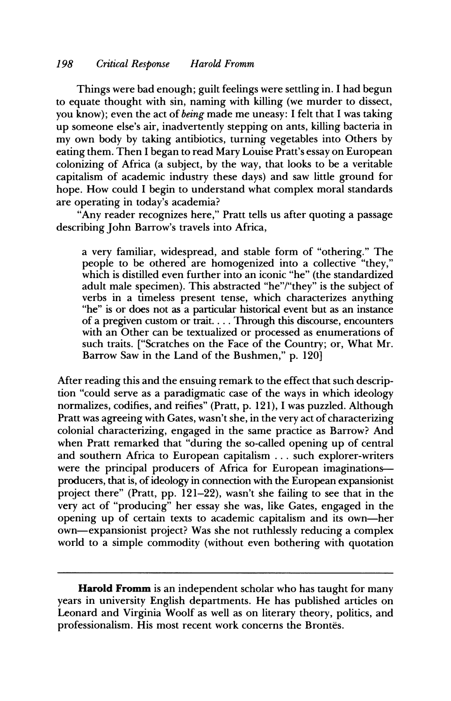#### **198 Critical Response Harold Fromm**

**Things were bad enough; guilt feelings were settling in. I had begun to equate thought with sin, naming with killing (we murder to dissect, you know); even the act of being made me uneasy: I felt that I was taking up someone else's air, inadvertently stepping on ants, killing bacteria in my own body by taking antibiotics, turning vegetables into Others by eating them. Then I began to read Mary Louise Pratt's essay on European colonizing of Africa (a subject, by the way, that looks to be a veritable capitalism of academic industry these days) and saw little ground for hope. How could I begin to understand what complex moral standards are operating in today's academia?** 

**"Any reader recognizes here," Pratt tells us after quoting a passage describing John Barrow's travels into Africa,** 

**a very familiar, widespread, and stable form of "othering." The people to be othered are homogenized into a collective "they," which is distilled even further into an iconic "he" (the standardized adult male specimen). This abstracted "he"/"they" is the subject of verbs in a timeless present tense, which characterizes anything "he" is or does not as a particular historical event but as an instance of a pregiven custom or trait ... Through this discourse, encounters with an Other can be textualized or processed as enumerations of such traits. ["Scratches on the Face of the Country; or, What Mr. Barrow Saw in the Land of the Bushmen," p. 120]** 

**After reading this and the ensuing remark to the effect that such description "could serve as a paradigmatic case of the ways in which ideology normalizes, codifies, and reifies" (Pratt, p. 121), I was puzzled. Although Pratt was agreeing with Gates, wasn't she, in the very act of characterizing colonial characterizing, engaged in the same practice as Barrow? And when Pratt remarked that "during the so-called opening up of central and southern Africa to European capitalism ... such explorer-writers were the principal producers of Africa for European imaginationsproducers, that is, of ideology in connection with the European expansionist project there" (Pratt, pp. 121-22), wasn't she failing to see that in the very act of "producing" her essay she was, like Gates, engaged in the opening up of certain texts to academic capitalism and its own-her own-expansionist project? Was she not ruthlessly reducing a complex world to a simple commodity (without even bothering with quotation** 

**Harold Fromm is an independent scholar who has taught for many years in university English departments. He has published articles on Leonard and Virginia Woolf as well as on literary theory, politics, and professionalism. His most recent work concerns the Brontes.**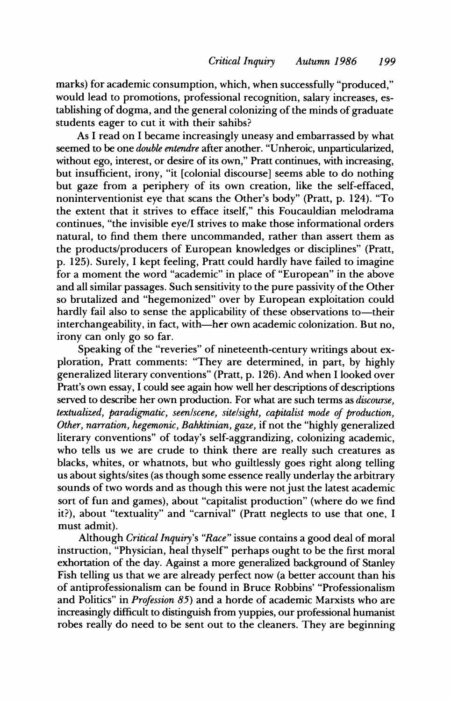**marks) for academic consumption, which, when successfully "produced," would lead to promotions, professional recognition, salary increases, establishing of dogma, and the general colonizing of the minds of graduate students eager to cut it with their sahibs?** 

**As I read on I became increasingly uneasy and embarrassed by what seemed to be one double entendre after another. "Unheroic, unparticularized, without ego, interest, or desire of its own," Pratt continues, with increasing, but insufficient, irony, "it [colonial discourse] seems able to do nothing but gaze from a periphery of its own creation, like the self-effaced, noninterventionist eye that scans the Other's body" (Pratt, p. 124). "To the extent that it strives to efface itself," this Foucauldian melodrama continues, "the invisible eye/I strives to make those informational orders natural, to find them there uncommanded, rather than assert them as the products/producers of European knowledges or disciplines" (Pratt, p. 125). Surely, I kept feeling, Pratt could hardly have failed to imagine for a moment the word "academic" in place of "European" in the above and all similar passages. Such sensitivity to the pure passivity of the Other so brutalized and "hegemonized" over by European exploitation could**  hardly fail also to sense the applicability of these observations to—their **interchangeability, in fact, with-her own academic colonization. But no, irony can only go so far.** 

**Speaking of the "reveries" of nineteenth-century writings about exploration, Pratt comments: "They are determined, in part, by highly generalized literary conventions" (Pratt, p. 126). And when I looked over Pratt's own essay, I could see again how well her descriptions of descriptions served to describe her own production. For what are such terms as discourse, textualized, paradigmatic, seen/scene, site/sight, capitalist mode of production, Other, narration, hegemonic, Bahktinian, gaze, if not the "highly generalized literary conventions" of today's self-aggrandizing, colonizing academic, who tells us we are crude to think there are really such creatures as blacks, whites, or whatnots, but who guiltlessly goes right along telling us about sights/sites (as though some essence really underlay the arbitrary sounds of two words and as though this were not just the latest academic sort of fun and games), about "capitalist production" (where do we find it?), about "textuality" and "carnival" (Pratt neglects to use that one, I must admit).** 

**Although Critical Inquiry's "Race" issue contains a good deal of moral instruction, "Physician, heal thyself" perhaps ought to be the first moral exhortation of the day. Against a more generalized background of Stanley Fish telling us that we are already perfect now (a better account than his of antiprofessionalism can be found in Bruce Robbins' "Professionalism and Politics" in Profession 85) and a horde of academic Marxists who are increasingly difficult to distinguish from yuppies, our professional humanist robes really do need to be sent out to the cleaners. They are beginning**